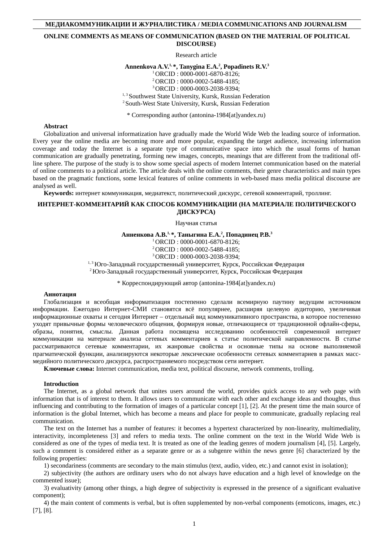# **МЕДИАКОММУНИКАЦИИ И ЖУРНАЛИСТИКА / MEDIA COMMUNICATIONS AND JOURNALISM**

## **ONLINE COMMENTS AS MEANS OF COMMUNICATION (BASED ON THE MATERIAL OF POLITICAL DISCOURSE)**

Research article

**Annenkova A.V.1, \*, Tanygina E.A.<sup>2</sup> , Popadinets R.V.<sup>3</sup>**

<sup>1</sup>ORCID : 0000-0001-6870-8126;

<sup>2</sup>ORCID : 0000-0002-5488-4185;

<sup>3</sup>ORCID : 0000-0003-2038-9394;

<sup>1, 3</sup> Southwest State University, Kursk, Russian Federation <sup>2</sup> South-West State University, Kursk, Russian Federation

\* Corresponding author (antonina-1984[at]yandex.ru)

## **Abstract**

Globalization and universal informatization have gradually made the World Wide Web the leading source of information. Every year the online media are becoming more and more popular, expanding the target audience, increasing information coverage and today the Internet is a separate type of communicative space into which the usual forms of human communication are gradually penetrating, forming new images, concepts, meanings that are different from the traditional offline sphere. The purpose of the study is to show some special aspects of modern Internet communication based on the material of online comments to a political article. The article deals with the online comments, their genre characteristics and main types based on the pragmatic functions, some lexical features of online comments in web-based mass media political discourse are analysed as well.

**Keywords:** интернет коммуникация, медиатекст, политический дискурс, сетевой комментарий, троллинг.

## **ИНТЕРНЕТ-КОММЕНТАРИЙ КАК СПОСОБ КОММУНИКАЦИИ (НА МАТЕРИАЛЕ ПОЛИТИЧЕСКОГО ДИСКУРСА)**

Научная статья

**Анненкова А.В.1, \*, Таныгина Е.А.<sup>2</sup> , Попадинец Р.В.<sup>3</sup>**

<sup>1</sup>ORCID : 0000-0001-6870-8126;

<sup>2</sup>ORCID : 0000-0002-5488-4185;

<sup>3</sup>ORCID : 0000-0003-2038-9394;

1, 3 Юго-Западный государственный университет, Курск, Российская Федерация

<sup>2</sup>Юго-Западный государственный университет, Курск, Российская Федерация

\* Корреспондирующий автор (antonina-1984[at]yandex.ru)

## **Аннотация**

Глобализация и всеобщая информатизация постепенно сделали всемирную паутину ведущим источником информации. Ежегодно Интернет-СМИ становятся всё популярнее, расширяя целевую аудиторию, увеличивая информационные охваты и сегодня Интернет – отдельный вид коммуникативного пространства, в которое постепенно уходят привычные формы человеческого общения, формируя новые, отличающиеся от традиционной офлайн-сферы, образы, понятия, смыслы. Данная работа посвящена исследованию особенностей современной интернет коммуникации на материале анализа сетевых комментариев к статье политической направленности. В статье рассматриваются сетевые комментарии, их жанровые свойства и основные типы на основе выполняемой прагматической функции, анализируются некоторые лексические особенности сетевых комментариев в рамках массмедийного политического дискурса, распространяемого посредством сети интернет.

**Ключевые слова:** Internet communication, media text, political discourse, network comments, trolling.

## **Introduction**

The Internet, as a global network that unites users around the world, provides quick access to any web page with information that is of interest to them. It allows users to communicate with each other and exchange ideas and thoughts, thus influencing and contributing to the formation of images of a particular concept [1], [2]. At the present time the main source of information is the global Internet, which has become a means and place for people to communicate, gradually replacing real communication.

The text on the Internet has a number of features: it becomes a hypertext characterized by non-linearity, multimediality, interactivity, incompleteness [3] and refers to media texts. The online comment on the text in the World Wide Web is considered as one of the types of media text. It is treated as one of the leading genres of modern journalism [4], [5]. Largely, such a comment is considered either as a separate genre or as a subgenre within the news genre [6] characterized by the following properties:

1) secondariness (comments are secondary to the main stimulus (text, audio, video, etc.) and cannot exist in isolation);

2) subjectivity (the authors are ordinary users who do not always have education and a high level of knowledge on the commented issue);

3) evaluativity (among other things, a high degree of subjectivity is expressed in the presence of a significant evaluative component);

4) the main content of comments is verbal, but is often supplemented by non-verbal components (emoticons, images, etc.) [7], [8].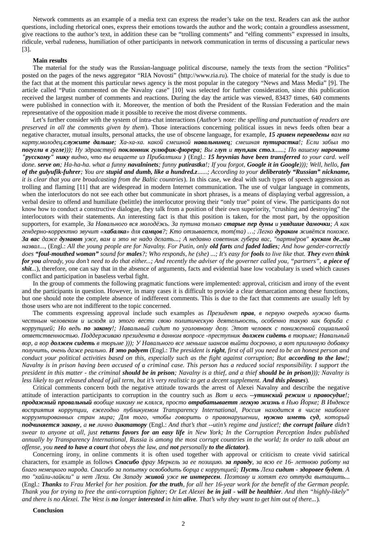Network comments as an example of a media text can express the reader's take on the text. Readers can ask the author questions, including rhetorical ones, express their emotions towards the author and the work; contain a groundless assessment, give reactions to the author's text, in addition these can be "trolling comments" and "elfing comments" expressed in insults, ridicule, verbal rudeness, humiliation of other participants in network communication in terms of discussing a particular news [3].

#### **Main results**

The material for the study was the Russian-language political discourse, namely the texts from the section "Politics" posted on the pages of the news aggregator "RIA Novosti" (http://www.ria.ru). The choice of material for the study is due to the fact that at the moment this particular news agency is the most popular in the category "News and Mass Media" [9]. The article called "Putin commented on the Navalny case" [10] was selected for further consideration, since this publication received the largest number of comments and reactions. During the day the article was viewed, 83437 times, 640 comments were published in connection with it. Moreover, the mention of both the President of the Russian Federation and the main representative of the opposition made it possible to receive the most diverse comments.

Let's further consider with the system of intra-chat interactions (*Author's note: the spelling and punctuation of readers are preserved in all the comments given by them*). Those interactions concerning political issues in news feeds often bear a negative character, mutual insults, personal attacks, the use of obscene language, for example, *15 гривен переведены вам на карту.молодец.служите дальше; Ха-ха-ха. какой смешной навальнинец; смешная путирастка!; Если забыл то погугли в гугле))); Ну здравствуй поклонник гулюфик-фюрера; Вы глуп и туп,как сто.з......; По вашему нарочито "русскому" нику видно, что вы вещаете из Прибалтики )* (Engl.: *15 hryvnias have been transferred to your card. well done. serve on; Ha-ha-ha. what a funny navalninets; funny putirastka!; If you forgot, Google it in Google))); Well, hello, fan of the gulyufik-fuhrer; You are stupid and dumb, like a hundred.z......; According to your deliberately "Russian" nickname, it is clear that you are broadcasting from the Baltic countries*). In this case, we deal with such types of speech aggression as trolling and flaming [11] that are widespread in modern Internet communication. The use of vulgar language in comments, when the interlocutors do not see each other but communicate in short phrases, is a means of displaying verbal aggression, a verbal desire to offend and humiliate (belittle) the interlocutor proving their "only true" point of view. The participants do not know how to conduct a constructive dialogue, they talk from a position of their own superiority, "crushing and destroying" the interlocutors with their statements. An interesting fact is that this position is taken, for the most part, by the opposition supporters, for example, *За Навального вся молодёжь. За путина только старые пер дуны и увядшие дамочки; А как гендерно-корректно звучит «хабалка» для самцов?; Кто отзывается, тот(та) …; Легко дураком живётся похоже. За вас даже думают уже, вам и это не надо делать...; А недавно советник губера вас, "партнёров" куском де..ма назвал...,* (Engl.: *All the young people are for Navalny. For Putin, only old farts and faded ladies; And how gender-correctly does "foul-mouthed woman" sound for males?; Who responds, he (she) ...; It's easy for fools to live like that. They even think for you* already, you don't need to do that either...; And recently the adviser of the governer called you, "partners", a piece of *shit...*), therefore, one can say that in the absence of arguments, facts and evidential base low vocabulary is used which causes conflict and participation in baseless verbal fight.

In the group of comments the following pragmatic functions were implemented: approval, criticism and irony of the event and the participants in question. However, in many cases it is difficult to provide a clear demarcation among these functions, but one should note the complete absence of indifferent comments. This is due to the fact that comments are usually left by those users who are not indifferent to the topic concerned.

The comments expressing approval include such examples as *Президент прав, в первую очередь нужно быть честным человеком и исходя из этого вести свою политическую деятельность, особенно такую как борьба с коррупцией; Но ведь по закону!; Навальный сидит по уголовному делу. Этот человек с пониженной социальной ответственностью. Поддерживаю президента в данном вопросе -преступник должен сидеть в тюрьме; Навальный вор, а вор должен сидеть в тюрьме ))); У Навального все меньше шансов выйти досрочно, а вот приличную добавку получить, очень даже реально. И это радует* (Engl.: *The president is right, first of all you need to be an honest person and conduct your political activities based on this, especially such as the fight against corruption; But according to the law!; Navalny is in prison having been accused of a criminal case. This person has a reduced social responsibility. I support the president in this matter - the criminal should be in prison; Navalny is a thief, and a thief should be in prison))); Navalny is* less likely to get released ahead of jail term, but it's very realistic to get a decent supplement. And this pleases).

Critical comments concern both the negative attitude towards the arrest of Alexei Navalny and describe the negative attitude of interaction participants to corruption in the country such as *Вот и весь --утинский режим и правосудие!; продажный провальный вообще никому не клялся, просто отрабатываетт легкую жизнь в Нью Йорке; В Индексе восприятия коррупции, ежегодно публикуемом Transparency International, Россия находится в числе наиболее коррумпированных стран мира; Для того, чтобы говорить о правонарушении, нужно иметь суд, который подчиняется закону, а не лично диктатору* (Engl.: *And that's that --utin's regime and justice!; the corrupt failure didn't swear to anyone at all, just returns favors for an easy life in New York; In the Corruption Perception Index published annually by Transparency International, Russia is among the most corrupt countries in the world; In order to talk about an offense, you need to have a court that obeys the law, and not personally to the dictator***)***.*

Concerning irony, in online comments it is often used together with approval or criticism to create vivid satirical characters, for example as follows *Спасибо фрау Меркель за ее позицию. за правду, за всю ее 16- летнюю работу на благо немецкого народа. Спасибо за попытку освободить борца с коррупцией; Пусть Леха сидит - здоровее будет. А то "хайли-лайкли" и нет Лехи. Он Западу живой уже не интересен. Поэтому и хотят его оттуда вытащить...* (Engl.: *Thanks to Frau Merkel for her position. for the truth, for all her 16-year work for the benefit of the German people. Thank you for trying to free the anti-corruption fighter; Or Let Alexei be in jail - will be healthier. And then "highly-likely" and there is no Alexei. The West is no longer interested in him alive. That's why they want to get him out of there...*)*.*

#### **Conclusion**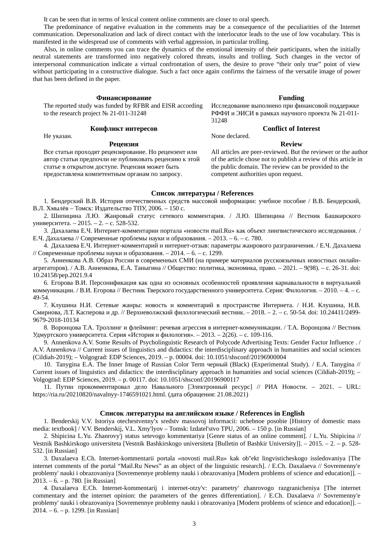It can be seen that in terms of lexical content online comments are closer to oral speech.

The predominance of negative evaluation in the comments may be a consequence of the peculiarities of the Internet communication. Depersonalization and lack of direct contact with the interlocutor leads to the use of low vocabulary. This is manifested in the widespread use of comments with verbal aggression, in particular trolling.

Also, in online comments you can trace the dynamics of the emotional intensity of their participants, when the initially neutral statements are transformed into negatively colored threats, insults and trolling. Such changes in the vector of interpersonal communication indicate a virtual confrontation of users, the desire to prove "their only true" point of view without participating in a constructive dialogue. Such a fact once again confirms the fairness of the versatile image of power that has been defined in the paper.

#### **Финансирование Funding**

The reported study was funded by RFBR and EISR according to the research project № 21-011-31248

## **Конфликт интересов Conflict of Interest**

#### **Рецензия Review**

Не указан. **None declared**.

31248

Исследование выполнено при финансовой поддержке РФФИ и ЭИСИ в рамках научного проекта № 21-011-

Все статьи проходят рецензирование. Но рецензент или автор статьи предпочли не публиковать рецензию к этой статье в открытом доступе. Рецензия может быть предоставлена компетентным органам по запросу.

All articles are peer-reviewed. But the reviewer or the author of the article chose not to publish a review of this article in the public domain. The review can be provided to the competent authorities upon request.

# **Список литературы / References**

1. Бендерский В.В. История отечественных средств массовой информации: учебное пособие / В.В. Бендерский, В.Л. Хмылёв – Томск: Издательство ТПУ, 2006. – 150 c.

2. Шипицина Л.Ю. Жанровый статус сетевого комментария. / Л.Ю. Шипицина // Вестник Башкирского университета. – 2015. – 2. – c. 528-532.

3. Дахалаева Е.Ч. Интернет-комментарии портала «новости mail.Ru» как объект лингвистического исследования. / Е.Ч. Дахалаева // Современные проблемы науки и образования. – 2013. – 6. – c. 780.

4. Дахалаева Е.Ч. Интернет-комментарий и интернет-отзыв: параметры жанрового разграничения. / Е.Ч. Дахалаева // Современные проблемы науки и образования. – 2014. – 6. – c. 1299.

5. Анненкова А.В. Образ России в современных СМИ (на примере материалов русскоязычных новостных онлайнагрегаторов). / А.В. Анненкова, Е.А. Таныгина // Общество: политика, экономика, право. – 2021. – 9(98). – c. 26-31. doi: 10.24158/pep.2021.9.4

6. Егорова В.И. Персонификация как одна из основных особенностей проявления карнавальности в виртуальной коммуникации. / В.И. Егорова // Вестник Тверского государственного университета. Серия: Филология. – 2010. – 4. – c. 49-54.

7. Клушина Н.И. Сетевые жанры: новость и комментарий в пространстве Интернета. / Н.И. Клушина, Н.В. Смирнова, Л.Т. Касперова и др. // Верхневолжский филологический вестник. – 2018. – 2. – c. 50-54. doi: 10.24411/2499- 9679-2018-10134

8. Воронцова Т.А. Троллинг и флейминг: речевая агрессия в интернет-коммуникации. / Т.А. Воронцова // Вестник Удмуртского университета. Серия «История и филология». – 2013. – 2(26). – c. 109-116.

9. Annenkova A.V. Some Results of Psycholinguistic Research of Polycode Advertising Texts: Gender Factor Influence . / A.V. Annenkova // Current issues of linguistics and didactics: the interdisciplinary approach in humanities and social sciences (Cildiah-2019); – Volgograd: EDP Sciences, 2019. – p. 00004. doi: 10.1051/shsconf/20196900004

10. Tanygina E.A. The Inner Image of Russian Color Term черный (Black) (Experimental Study). / E.A. Tanygina // Current issues of linguistics and didactics: the interdisciplinary approach in humanities and social sciences (Cildiah-2019); – Volgograd: EDP Sciences, 2019. – p. 00117. doi: 10.1051/shsconf/20196900117

11. Путин прокомментировал дело Навального [Электронный ресурс] // РИА Новости. – 2021. – URL: https://ria.ru/20210820/navalnyy-1746591021.html. (дата обращения: 21.08.2021)

### **Список литературы на английском языке / References in English**

1. Benderskij V.V. Istoriya otechestvenny'x sredstv massovoj informacii: uchebnoe posobie [History of domestic mass media: textbook] / V.V. Benderskij, V.L. Xmy'lyov – Tomsk: Izdatel'stvo TPU, 2006. – 150 p. [in Russian]

2. Shipicina L.Yu. Zhanrovy'j status setevogo kommentariya [Genre status of an online comment]. / L.Yu. Shipicina // Vestnik Bashkirskogo universiteta [Vestnik Bashkirskogo universiteta [Bulletin of Bashkir University]]. – 2015. – 2. – p. 528- 532. [in Russian]

3. Daxalaeva E.Ch. Internet-kommentarii portala «novosti mail.Ru» kak ob''ekt lingvisticheskogo issledovaniya [The internet comments of the portal "Mail.Ru News" as an object of the linguistic research]. / E.Ch. Daxalaeva // Sovremenny'e problemy' nauki i obrazovaniya [Sovremennye problemy nauki i obrazovaniya [Modern problems of science and education]]. – 2013. – 6. – p. 780. [in Russian]

4. Daxalaeva E.Ch. Internet-kommentarij i internet-otzy'v: parametry' zhanrovogo razgranicheniya [The internet commentary and the internet opinion: the parameters of the genres differentiation]. / E.Ch. Daxalaeva // Sovremenny'e problemy' nauki i obrazovaniya [Sovremennye problemy nauki i obrazovaniya [Modern problems of science and education]]. – 2014. – 6. – p. 1299. [in Russian]